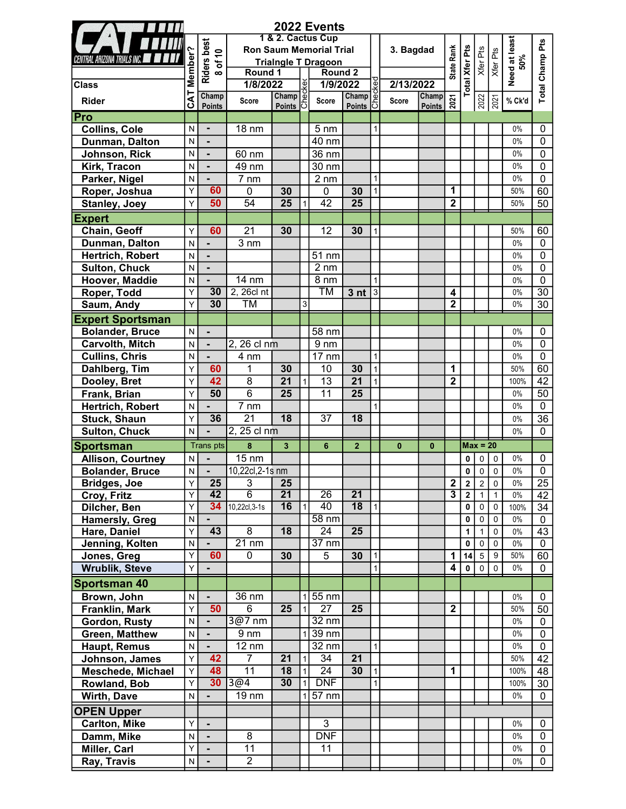|                                    |         |                              |                                   |                       |                              | 2022 Events                    |                 |                   |           |                        |                              |                                           |                |                            |                      |                            |
|------------------------------------|---------|------------------------------|-----------------------------------|-----------------------|------------------------------|--------------------------------|-----------------|-------------------|-----------|------------------------|------------------------------|-------------------------------------------|----------------|----------------------------|----------------------|----------------------------|
|                                    |         |                              |                                   |                       |                              | 1 & 2. Cactus Cup              |                 |                   |           |                        |                              |                                           |                |                            |                      |                            |
|                                    |         |                              |                                   |                       |                              | <b>Ron Saum Memorial Trial</b> |                 |                   | 3. Bagdad |                        |                              |                                           |                |                            |                      | Pts                        |
| CENTRAL ARIZONA TRIALS INC.        |         |                              |                                   |                       |                              | <b>Trialngle T Dragoon</b>     |                 |                   |           |                        | <b>State Rank</b>            |                                           |                | Xfer Pts<br>Xfer Pts       |                      |                            |
|                                    | Member? | Riders best<br>8 of 10       | Round 1                           |                       |                              | Round <sub>2</sub>             |                 |                   |           |                        |                              |                                           |                |                            | Need at least<br>50% | Champ                      |
| <b>Class</b>                       |         |                              | 1/8/2022                          |                       |                              | 1/9/2022                       |                 | kec               | 2/13/2022 |                        |                              | <b>Total Xfer Pts</b>                     |                |                            |                      | otal                       |
| Rider                              | CAT     | Champ<br>Points              | <b>Score</b>                      | 22<br>Champ<br>Points |                              | Score                          | Champ of        |                   | Score     | Champ<br><b>Points</b> | 2021                         |                                           | 2022           |                            | % Ck'd               |                            |
| Pro                                |         |                              |                                   |                       |                              |                                |                 |                   |           |                        |                              |                                           |                |                            |                      |                            |
| <b>Collins, Cole</b>               | N       | $\blacksquare$               | 18 nm                             |                       |                              | $5 \text{ nm}$                 |                 |                   |           |                        |                              |                                           |                |                            | 0%                   | 0                          |
| Dunman, Dalton                     | N       | $\blacksquare$               |                                   |                       |                              | 40 nm                          |                 |                   |           |                        |                              |                                           |                |                            | 0%                   | 0                          |
| Johnson, Rick                      | N       | $\blacksquare$               | 60 nm                             |                       |                              | 36 nm                          |                 |                   |           |                        |                              |                                           |                |                            | 0%                   | 0                          |
| Kirk, Tracon                       | N       | $\blacksquare$               | 49 nm                             |                       |                              | 30 nm                          |                 |                   |           |                        |                              |                                           |                |                            | 0%                   | 0                          |
| Parker, Nigel                      | N       |                              | $\overline{7}$ nm                 |                       |                              | $2 \, \text{nm}$               |                 | $\mathbf{1}$      |           |                        |                              |                                           |                |                            | 0%                   | 0                          |
| Roper, Joshua                      | Y       | 60                           | 0                                 | 30                    |                              | 0                              | 30              | 1                 |           |                        | 1                            |                                           |                |                            | 50%                  | 60                         |
| <b>Stanley, Joey</b>               | Y       | 50                           | $\overline{54}$                   | $\overline{25}$       | $\mathbf{1}$                 | 42                             | $\overline{25}$ |                   |           |                        | $\overline{\mathbf{2}}$      |                                           |                |                            | 50%                  | 50                         |
| <b>Expert</b>                      |         |                              |                                   |                       |                              |                                |                 |                   |           |                        |                              |                                           |                |                            |                      |                            |
| Chain, Geoff                       | Y       | 60                           | $\overline{21}$                   | 30                    |                              | 12                             | 30              | 1                 |           |                        |                              |                                           |                |                            | 50%                  | 60                         |
| Dunman, Dalton                     | N       | $\overline{\phantom{0}}$     | $3 \, \text{nm}$                  |                       |                              |                                |                 |                   |           |                        |                              |                                           |                |                            | $0\%$                | $\mathbf{0}$               |
| Hertrich, Robert                   | N       | $\qquad \qquad \blacksquare$ |                                   |                       |                              | 51 nm                          |                 |                   |           |                        |                              |                                           |                |                            | $0\%$                | 0                          |
| <b>Sulton, Chuck</b>               | N       | ٠                            |                                   |                       |                              | $2 \text{ nm}$                 |                 |                   |           |                        |                              |                                           |                |                            | $0\%$                | 0                          |
| Hoover, Maddie                     | N       |                              | 14 nm                             |                       |                              | $8 \text{ nm}$                 |                 | 1                 |           |                        |                              |                                           |                |                            | 0%                   | 0                          |
| Roper, Todd                        | Υ       | 30                           | 2, 26cl nt                        |                       |                              | ТM                             | 3 <sub>nt</sub> | $\lvert 3 \rvert$ |           |                        | 4                            |                                           |                |                            | 0%                   | 30                         |
| Saum, Andy                         | Y       | 30                           | TM                                |                       | $\mathbf{3}$                 |                                |                 |                   |           |                        | $\overline{\mathbf{2}}$      |                                           |                |                            | 0%                   | 30                         |
| <b>Expert Sportsman</b>            |         |                              |                                   |                       |                              |                                |                 |                   |           |                        |                              |                                           |                |                            |                      |                            |
| <b>Bolander, Bruce</b>             | N       | $\blacksquare$               |                                   |                       |                              | 58 nm                          |                 |                   |           |                        |                              |                                           |                |                            | 0%                   | 0                          |
| Carvolth, Mitch                    | N       | $\blacksquare$               | 2, 26 cl nm                       |                       |                              | $9 \text{ nm}$                 |                 |                   |           |                        |                              |                                           |                |                            | 0%                   | 0                          |
| <b>Cullins, Chris</b>              | N       |                              | 4 nm                              |                       |                              | 17 nm                          |                 | $\mathbf{1}$      |           |                        |                              |                                           |                |                            | 0%                   | 0                          |
|                                    | Y       | 60                           | $\mathbf{1}$                      | 30                    |                              | 10                             | 30              | $\vert$           |           |                        | 1                            |                                           |                |                            | 50%                  | 60                         |
| Dahlberg, Tim                      | Y       | 42                           | $\overline{8}$                    | $\overline{21}$       | $\mathbf{1}$                 | $\overline{13}$                | $\overline{21}$ | $\mathbf{1}$      |           |                        | $\overline{\mathbf{2}}$      |                                           |                |                            | 100%                 | 42                         |
| Dooley, Bret                       | Y       | 50                           | $\overline{6}$                    | 25                    |                              | 11                             | 25              |                   |           |                        |                              |                                           |                |                            | 0%                   | 50                         |
| Frank, Brian                       |         |                              | $\overline{7}$ nm                 |                       |                              |                                |                 |                   |           |                        |                              |                                           |                |                            | 0%                   | $\mathbf 0$                |
| Hertrich, Robert                   | N       | 36                           | $\overline{21}$                   | $\overline{18}$       |                              | $\overline{37}$                | $\overline{18}$ |                   |           |                        |                              |                                           |                |                            |                      | 36                         |
| Stuck, Shaun                       | Y<br>N  |                              | 2, 25 cl nm                       |                       |                              |                                |                 |                   |           |                        |                              |                                           |                |                            | 0%<br>$0\%$          | $\mathbf{0}$               |
| <b>Sulton, Chuck</b>               |         |                              |                                   |                       |                              |                                |                 |                   |           |                        |                              |                                           |                |                            |                      |                            |
| <b>Sportsman</b>                   |         | <b>Trans pts</b>             | 8                                 | 3 <sup>1</sup>        |                              | 6                              | $\overline{2}$  |                   | $\bf{0}$  | $\bf{0}$               |                              |                                           | $Max = 20$     |                            |                      |                            |
| <b>Allison, Courtney</b>           | N       |                              | <b>15 nm</b>                      |                       |                              |                                |                 |                   |           |                        |                              | 0                                         | $\mathbf 0$    | $\mathbf 0$                | 0%                   | 0                          |
| Bolander, Bruce                    | N       | $\blacksquare$               | 10,22cl,2-1s nm                   |                       |                              |                                |                 |                   |           |                        |                              | 0                                         | $\overline{0}$ | $\pmb{0}$                  | 0%                   | $\overline{0}$             |
| <b>Bridges, Joe</b><br>Croy, Fritz | Υ<br>Y  | 25<br>42                     | 3<br>$\overline{6}$               | 25<br>$\overline{21}$ |                              | $\overline{26}$                | $\overline{21}$ |                   |           |                        | 2<br>$\overline{\mathbf{3}}$ | $\overline{2}$<br>$\overline{\mathbf{2}}$ | $\mathbf{1}$   | $2 \mid 0$<br>$\mathbf{1}$ | 0%<br>$0\%$          | 25<br>$\overline{42}$      |
| Dilcher, Ben                       | Y       | 34                           | 10,22cl,3-1s                      | 16                    | $\mathbf{1}$                 | 40                             | $\overline{18}$ | 1                 |           |                        |                              | 0                                         | $\mathbf 0$    | $\mathbf 0$                | 100%                 | 34                         |
| <b>Hamersly, Greg</b>              | N       | $\blacksquare$               |                                   |                       |                              | $58 \text{ nm}$                |                 |                   |           |                        |                              | 0                                         | $\overline{0}$ | $\mathbf 0$                | $0\%$                | $\mathbf 0$                |
| Hare, Daniel                       | Y       | 43                           | $\overline{8}$                    | 18                    |                              | 24                             | 25              |                   |           |                        |                              | 1                                         | $\mathbf{1}$   | $\mathbf 0$                | 0%                   | 43                         |
| Jenning, Kolten                    | N       |                              | $21 \text{ nm}$                   |                       |                              | $37 \text{ nm}$                |                 |                   |           |                        |                              | 0                                         | $\mathbf 0$    | $\mathbf 0$                | 0%                   | 0                          |
| Jones, Greg                        | Y       | 60                           | 0                                 | 30                    |                              | 5                              | 30              | $\vert$ 1         |           |                        | 1                            | 14                                        | 5 <sup>1</sup> | 9                          | 50%                  | 60                         |
| <b>Wrublik, Steve</b>              | Y       | $\blacksquare$               |                                   |                       |                              |                                |                 | 1                 |           |                        | 4                            | $\mathbf 0$                               |                | $0$   0                    | 0%                   | 0                          |
| <b>Sportsman 40</b>                |         |                              |                                   |                       |                              |                                |                 |                   |           |                        |                              |                                           |                |                            |                      |                            |
|                                    |         |                              |                                   |                       |                              |                                |                 |                   |           |                        |                              |                                           |                |                            |                      |                            |
| Brown, John<br>Franklin, Mark      | N<br>Υ  | 50                           | $\overline{36}$ nm<br>6           | $\overline{25}$       | 1<br>$\mathbf{1}$            | 55 nm<br>$\overline{27}$       | $\overline{25}$ |                   |           |                        | $\overline{2}$               |                                           |                |                            | 0%<br>50%            | 0<br>50                    |
|                                    | N       |                              | 3@7 nm                            |                       |                              | $32 \text{ nm}$                |                 |                   |           |                        |                              |                                           |                |                            | $0\%$                | $\mathbf 0$                |
| Gordon, Rusty                      |         |                              |                                   |                       |                              |                                |                 |                   |           |                        |                              |                                           |                |                            |                      |                            |
| Green, Matthew                     | N       | ٠                            | $9 \text{ nm}$<br>$12 \text{ nm}$ |                       |                              | 39 nm<br>32 nm                 |                 |                   |           |                        |                              |                                           |                |                            | $0\%$<br>0%          | $\mathbf 0$<br>$\mathbf 0$ |
| Haupt, Remus                       | N<br>Y  | $\blacksquare$<br>42         | $\overline{7}$                    | 21                    |                              | $\overline{34}$                | $\overline{21}$ | 1                 |           |                        |                              |                                           |                |                            | 50%                  | 42                         |
| Johnson, James                     |         | 48                           | $\overline{11}$                   | 18                    | $\mathbf{1}$                 | 24                             | 30              |                   |           |                        | 1                            |                                           |                |                            | 100%                 | 48                         |
| <b>Meschede, Michael</b>           | Υ<br>Υ  | 30 <sub>2</sub>              | $\sqrt{304}$                      | 30                    | $\mathbf{1}$<br>$\mathbf{1}$ | <b>DNF</b>                     |                 | $\vert$ 1<br>1    |           |                        |                              |                                           |                |                            | 100%                 | 30                         |
| Rowland, Bob                       |         |                              | 19 nm                             |                       |                              | 57 nm                          |                 |                   |           |                        |                              |                                           |                |                            | 0%                   |                            |
| Wirth, Dave                        | N       |                              |                                   |                       |                              |                                |                 |                   |           |                        |                              |                                           |                |                            |                      | 0                          |
| <b>OPEN Upper</b>                  |         |                              |                                   |                       |                              |                                |                 |                   |           |                        |                              |                                           |                |                            |                      |                            |
| <b>Carlton, Mike</b>               | Y       | $\blacksquare$               |                                   |                       |                              | $\overline{3}$                 |                 |                   |           |                        |                              |                                           |                |                            | 0%                   | 0                          |
| Damm, Mike                         | N       | $\blacksquare$               | $\overline{8}$                    |                       |                              | <b>DNF</b>                     |                 |                   |           |                        |                              |                                           |                |                            | 0%                   | 0                          |
| Miller, Carl                       | Y       | $\blacksquare$               | $\overline{11}$                   |                       |                              | 11                             |                 |                   |           |                        |                              |                                           |                |                            | $0\%$                | 0                          |
| Ray, Travis                        | N       |                              | $\overline{2}$                    |                       |                              |                                |                 |                   |           |                        |                              |                                           |                |                            | 0%                   | 0                          |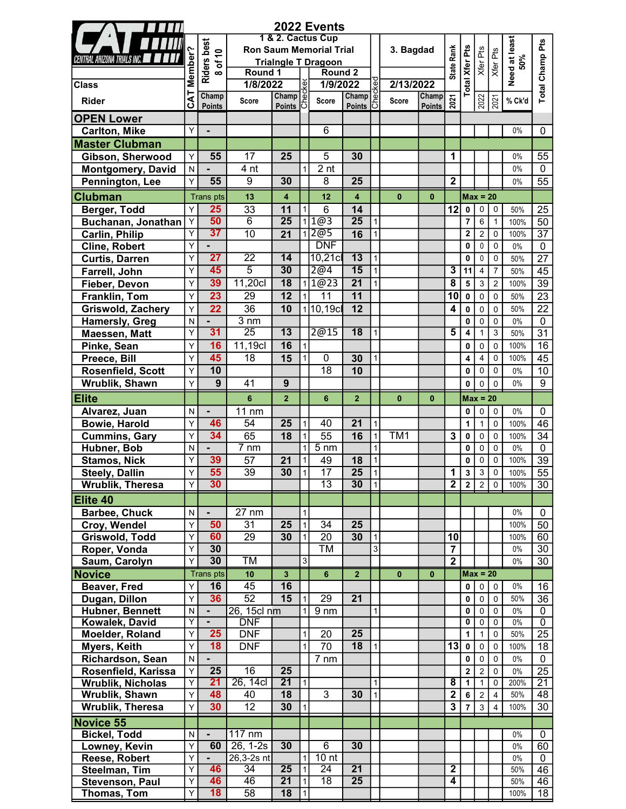|                          |              |                                |                  |                            |                | 2022 Events                    |                                                         |                   |                 |               |                         |                       |                                  |                            |                      |                                |
|--------------------------|--------------|--------------------------------|------------------|----------------------------|----------------|--------------------------------|---------------------------------------------------------|-------------------|-----------------|---------------|-------------------------|-----------------------|----------------------------------|----------------------------|----------------------|--------------------------------|
|                          |              |                                |                  |                            |                | 1 & 2. Cactus Cup              |                                                         |                   |                 |               |                         |                       |                                  |                            |                      |                                |
|                          |              |                                |                  |                            |                | <b>Ron Saum Memorial Trial</b> |                                                         |                   | 3. Bagdad       |               |                         |                       |                                  |                            |                      | Ρťs                            |
| IL ARIZONA TRIALS INC. . |              | of $10$                        |                  |                            |                | <b>Trialngle T Dragoon</b>     |                                                         |                   |                 |               |                         |                       |                                  |                            |                      |                                |
|                          | Member?      | <b>Riders best</b><br>$\infty$ | Round 1          |                            |                | Round <sub>2</sub>             |                                                         |                   |                 |               | State Rank              |                       |                                  | Xfer Pts<br>Xfer Pts       | Need at least<br>50% | Champ                          |
| <b>Class</b>             |              |                                | 1/8/2022         |                            |                | 1/9/2022                       |                                                         | kec               | 2/13/2022       |               |                         | <b>Total Xfer Pts</b> |                                  |                            |                      | $\frac{1}{\sqrt{2}}$           |
| <b>Rider</b>             | <b>CAT</b>   | Champ                          | Score            | 22<br>Champ<br>Points<br>C |                | Score                          | $\frac{1}{\text{Champ}}$ $\frac{1}{\text{C}}$<br>Points |                   | Score           | Champ         | 2021                    |                       | 2022                             | 2021                       | % Ck'd               |                                |
| <b>OPEN Lower</b>        |              | <b>Points</b>                  |                  | <b>Points</b>              |                |                                | <b>Points</b>                                           |                   |                 | <b>Points</b> |                         |                       |                                  |                            |                      |                                |
| <b>Carlton, Mike</b>     | Υ            |                                |                  |                            |                | 6                              |                                                         |                   |                 |               |                         |                       |                                  |                            | 0%                   | 0                              |
| <b>Master Clubman</b>    |              |                                |                  |                            |                |                                |                                                         |                   |                 |               |                         |                       |                                  |                            |                      |                                |
| Gibson, Sherwood         | Y            | 55                             | 17               | 25                         |                | 5                              | 30                                                      |                   |                 |               | 1                       |                       |                                  |                            | $0\%$                | 55                             |
| Montgomery, David        | N            |                                | 4 nt             |                            | 1              | 2 <sub>nt</sub>                |                                                         |                   |                 |               |                         |                       |                                  |                            | $0\%$                | $\mathbf{0}$                   |
| Pennington, Lee          | Y            | 55                             | 9                | 30                         |                | 8                              | 25                                                      |                   |                 |               | $\mathbf{2}$            |                       |                                  |                            | $0\%$                | 55                             |
| <b>Clubman</b>           |              | <b>Trans</b> pts               | 13               | 4                          |                | 12                             | $\overline{\mathbf{4}}$                                 |                   | $\mathbf{0}$    | $\mathbf{0}$  |                         |                       | $Max = 20$                       |                            |                      |                                |
|                          |              | 25                             | 33               | 11                         | $\mathbf{1}$   |                                | 14                                                      |                   |                 |               |                         |                       |                                  |                            |                      |                                |
| Berger, Todd             | Y            | 50                             | $\overline{6}$   | $\overline{25}$            |                | 6<br>1@3                       | $\overline{25}$                                         | $\mathbf{1}$      |                 |               | 12                      | 0                     | $\overline{0}$<br>$6\phantom{a}$ | $\mathbf 0$                | 50%                  | 25                             |
| Buchanan, Jonathan Y     | Y            | 37                             |                  |                            |                | 12@5                           |                                                         |                   |                 |               |                         | 7                     |                                  | $\mathbf{1}$               | 100%                 | 50                             |
| <b>Carlin, Philip</b>    | Υ            |                                | 10               | $\overline{21}$            |                | <b>DNF</b>                     | 16                                                      | $\mathbf{1}$      |                 |               |                         | $\mathbf 2$<br>0      | $\overline{2}$<br>$\pmb{0}$      | $\mathbf 0$<br>$\mathbf 0$ | 100%<br>0%           | $\overline{37}$<br>$\mathbf 0$ |
| <b>Cline, Robert</b>     |              | $\overline{27}$                | $\overline{22}$  | 14                         |                |                                | $\overline{13}$                                         |                   |                 |               |                         |                       |                                  |                            |                      |                                |
| <b>Curtis, Darren</b>    | Y            | 45                             | $\overline{5}$   | 30                         |                | $10,21$ cl                     | 15                                                      | $\mathbf{1}$      |                 |               |                         | $\mathbf 0$           | 0                                | $\mathbf 0$                | 50%                  | 27                             |
| Farrell, John            | Υ            |                                |                  |                            |                | 2@4                            |                                                         | 1                 |                 |               | 3                       | 11                    | 4                                | 7                          | 50%                  | 45                             |
| Fieber, Devon            | Υ            | 39                             | 11,20c           | $\overline{18}$            |                | 1@23                           | $\overline{21}$                                         | 1                 |                 |               | 8                       | 5                     | $\mathbf{3}$                     | $\sqrt{2}$                 | 100%                 | 39                             |
| Franklin, Tom            | Υ            | $\overline{23}$                | 29               | $\overline{12}$            |                | 11                             | 11                                                      |                   |                 |               | 10                      | 0                     | 0                                | $\mathbf 0$                | 50%                  | 23                             |
| <b>Griswold, Zachery</b> | Y            | $\overline{22}$                | $\overline{36}$  | 10                         |                | 110,19cl                       | 12                                                      |                   |                 |               | 4                       | 0                     | 0                                | $\mathbf 0$                | 50%                  | $\overline{22}$                |
| Hamersly, Greg           | $\mathsf{N}$ |                                | $3 \text{ nm}$   |                            |                |                                |                                                         |                   |                 |               |                         | 0                     | $\mathbf 0$                      | $\mathbf 0$                | $0\%$                | $\mathbf 0$                    |
| Maessen, Matt            | Υ            | 31                             | $\overline{25}$  | 13                         |                | 2@15                           | 18                                                      |                   |                 |               | 5                       | 4                     | 1                                | 3                          | 50%                  | $\overline{31}$                |
| Pinke, Sean              | Υ            | 16                             | 11,19c           | 16                         | $\mathbf{1}$   |                                |                                                         |                   |                 |               |                         | 0                     | 0                                | $\mathbf 0$                | 100%                 | 16                             |
| Preece, Bill             | Υ            | 45                             | 18               | 15                         | $\mathbf{1}$   | 0                              | 30                                                      | $\mathbf{1}$      |                 |               |                         | 4                     | 4                                | 0                          | 100%                 | 45                             |
| Rosenfield, Scott        | Y            | 10                             |                  |                            |                | 18                             | 10                                                      |                   |                 |               |                         | 0                     | 0                                | $\mathbf 0$                | $0\%$                | 10                             |
| Wrublik, Shawn           | Y            | 9                              | 41               | 9                          |                |                                |                                                         |                   |                 |               |                         | 0                     | 0                                | $\mathbf 0$                | $0\%$                | 9                              |
| <b>Elite</b>             |              |                                | 6                | $\overline{2}$             |                | 6                              | $\overline{2}$                                          |                   | $\mathbf{0}$    | $\bf{0}$      |                         |                       | $Max = 20$                       |                            |                      |                                |
| Alvarez, Juan            | N            |                                | 11 nm            |                            |                |                                |                                                         |                   |                 |               |                         | 0                     | $\mathbf 0$                      | $\mathbf 0$                | $0\%$                | 0                              |
| <b>Bowie, Harold</b>     | Y            | 46                             | 54               | 25                         | $\mathbf{1}$   | 40                             | $\overline{21}$                                         | $\mathbf{1}$      |                 |               |                         | 1                     | $\mathbf{1}$                     | $\mathbf 0$                | 100%                 | 46                             |
| <b>Cummins, Gary</b>     | Y            | $\overline{34}$                | 65               | $\overline{18}$            | $\mathbf{1}$   | 55                             | 16                                                      | 1                 | TM <sub>1</sub> |               | $\mathbf{3}$            | 0                     | $\mathbf 0$                      | $\mathbf 0$                | 100%                 | $\overline{34}$                |
| Hubner, Bob              | N            |                                | $7 \text{ nm}$   |                            | $\mathbf{1}$   | 5 <sub>nm</sub>                |                                                         |                   |                 |               |                         | 0                     | $\mathbf 0$                      | $\mathbf 0$                | 0%                   | 0                              |
| <b>Stamos, Nick</b>      | Υ            | 39                             | 57               | 21                         |                | 49                             | 18                                                      |                   |                 |               |                         | 0                     | 0                                | $\mathbf 0$                | 100%                 | 39                             |
| <b>Steely, Dallin</b>    | Y            | 55                             | 39               | 30                         | $\mathbf{1}$   | 17                             | $\overline{25}$                                         | 1                 |                 |               | 1                       | 3                     | $\sqrt{3}$                       | $\mathbf 0$                | 100%                 | 55                             |
| Wrublik, Theresa         | Y            | 30                             |                  |                            |                | $\overline{13}$                | 30                                                      | $\vert$ 1 $\vert$ |                 |               | 2                       | $\mathbf{2}$          | 2                                | $\boldsymbol{0}$           | 100%                 | 30                             |
| Elite 40                 |              |                                |                  |                            |                |                                |                                                         |                   |                 |               |                         |                       |                                  |                            |                      |                                |
| <b>Barbee, Chuck</b>     | ${\sf N}$    | $\blacksquare$                 | $27$ nm          |                            | $\mathbf{1}$   |                                |                                                         |                   |                 |               |                         |                       |                                  |                            | $0\%$                | 0                              |
| Croy, Wendel             | Y            | 50                             | $\overline{31}$  | 25                         | $\mathbf{1}$   | 34                             | $\overline{25}$                                         |                   |                 |               |                         |                       |                                  |                            | 100%                 | 50                             |
| Griswold, Todd           | Y            | 60                             | 29               | 30                         | $\mathbf{1}$   | 20                             | 30                                                      | 1                 |                 |               | 10                      |                       |                                  |                            | 100%                 | 60                             |
| Roper, Vonda             | Υ            | 30                             |                  |                            |                | TM                             |                                                         | 3                 |                 |               | $\overline{7}$          |                       |                                  |                            | $0\%$                | 30                             |
| Saum, Carolyn            | Y            | 30                             | ТM               |                            | $\overline{3}$ |                                |                                                         |                   |                 |               | $\overline{2}$          |                       |                                  |                            | 0%                   | 30                             |
| <b>Novice</b>            |              | <b>Trans</b> pts               | 10               | 3 <sup>2</sup>             |                | $6\phantom{a}$                 | 2 <sup>1</sup>                                          |                   | $\mathbf{0}$    | $\mathbf{0}$  |                         |                       | $Max = 20$                       |                            |                      |                                |
| <b>Beaver, Fred</b>      | Y            | 16                             | 45               | 16                         |                |                                |                                                         |                   |                 |               |                         | 0                     |                                  | $0$ 0                      | 0%                   | 16                             |
| Dugan, Dillon            | Y            | 36                             | $\overline{52}$  | 15                         | $\mathbf{1}$   | 29                             | $\overline{21}$                                         |                   |                 |               |                         | 0                     | $\mathbf 0$                      | $\mathsf 0$                | 50%                  | 36                             |
| <b>Hubner, Bennett</b>   | ${\sf N}$    | $\blacksquare$                 | 26, 15cl nm      |                            | 1              | 9 <sub>nm</sub>                |                                                         | 1                 |                 |               |                         | 0                     | $\mathsf{O}$                     | $\mathsf 0$                | 0%                   | $\overline{0}$                 |
| Kowalek, David           | Y            | $\blacksquare$                 | <b>DNF</b>       |                            |                |                                |                                                         |                   |                 |               |                         | 0                     | $\overline{0}$                   | $\mathbf 0$                | $0\%$                | $\overline{0}$                 |
| Moelder, Roland          | Υ            | 25                             | <b>DNF</b>       |                            | $\mathbf{1}$   | 20                             | 25                                                      |                   |                 |               |                         | 1                     | $\mathbf{1}$                     | $\mathbf 0$                | 50%                  | 25                             |
| Myers, Keith             | Υ            | 18                             | <b>DNF</b>       |                            | $\mathbf{1}$   | 70                             | 18                                                      | $\mathbf{1}$      |                 |               | 13                      | 0                     | $\mathbf 0$                      | $\mathbf 0$                | 100%                 | 18                             |
| Richardson, Sean         | ${\sf N}$    |                                |                  |                            |                | $7 \text{ nm}$                 |                                                         |                   |                 |               |                         | 0                     | 0                                | $\mathbf 0$                | 0%                   | $\mathbf 0$                    |
| Rosenfield, Karissa      | Υ            | $\overline{25}$                | 16               | 25                         |                |                                |                                                         |                   |                 |               |                         | 2                     | $\overline{2}$                   | $\mathsf 0$                | $0\%$                | 25                             |
| <b>Wrublik, Nicholas</b> | Y            | 21                             | 26, 14cl         | 21                         | $\mathbf{1}$   |                                |                                                         | $\mathbf{1}$      |                 |               | $\overline{\mathbf{8}}$ | 1                     | $\mathbf{1}$                     | $\mathbf 0$                | 200%                 | $\overline{21}$                |
| Wrublik, Shawn           | Y            | 48                             | 40               | 18                         |                | 3                              | 30                                                      | 1                 |                 |               | $\mathbf 2$             | 6                     | $\overline{2}$                   | $\overline{4}$             | 50%                  | 48                             |
| <b>Wrublik, Theresa</b>  | Y            | 30                             | $\overline{12}$  | 30                         | $\mathbf{1}$   |                                |                                                         |                   |                 |               | 3                       | $\overline{7}$        | 3 <sup>1</sup>                   | $\overline{4}$             | 100%                 | 30                             |
| Novice 55                |              |                                |                  |                            |                |                                |                                                         |                   |                 |               |                         |                       |                                  |                            |                      |                                |
| <b>Bickel, Todd</b>      | N            | $\blacksquare$                 | $117 \text{ nm}$ |                            |                |                                |                                                         |                   |                 |               |                         |                       |                                  |                            | 0%                   | 0                              |
| Lowney, Kevin            | Y            | 60                             | $26, 1-2s$       | 30                         |                | $\overline{6}$                 | 30                                                      |                   |                 |               |                         |                       |                                  |                            | 0%                   | 60                             |
| Reese, Robert            | Y            | $\blacksquare$                 | 26,3-2s nt       |                            | 1              | 10 <sub>nt</sub>               |                                                         |                   |                 |               |                         |                       |                                  |                            | 0%                   | 0                              |
| Steelman, Tim            | Υ            | 46                             | 34               | $\overline{25}$            | $\vert$ 1      | $\overline{24}$                | $\overline{21}$                                         |                   |                 |               | 2                       |                       |                                  |                            | 50%                  | 46                             |
| Stevenson, Paul          | Υ            | 46                             | 46               | 21                         | $\vert$ 1      | $\overline{18}$                | 25                                                      |                   |                 |               | 4                       |                       |                                  |                            | 50%                  | 46                             |
| Thomas, Tom              | Υ            | 18                             | 58               | 18                         | 1              |                                |                                                         |                   |                 |               |                         |                       |                                  |                            | 100%                 | 18                             |